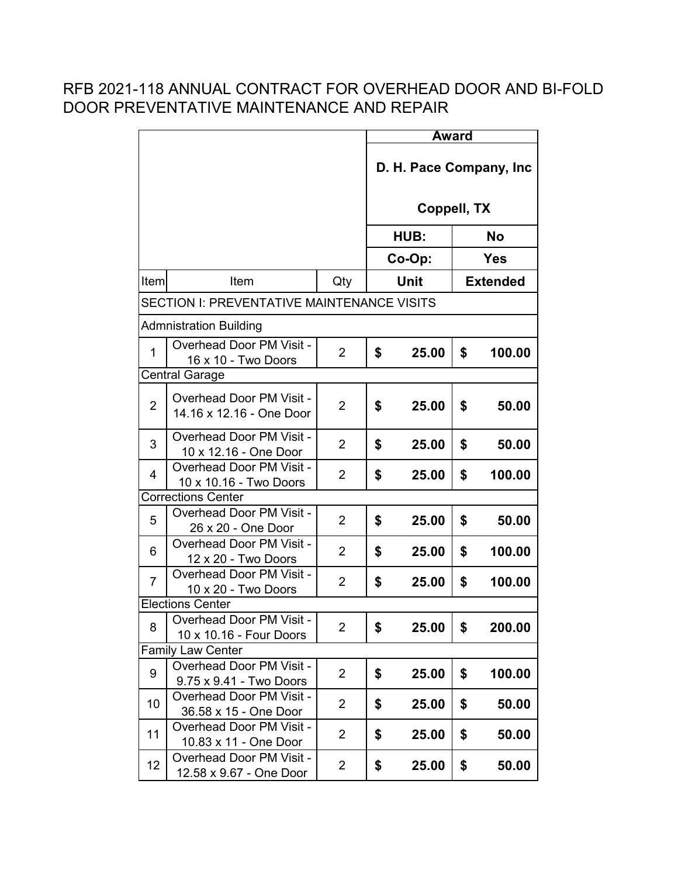|                |                                                             |                | <b>Award</b>             |             |                 |           |  |
|----------------|-------------------------------------------------------------|----------------|--------------------------|-------------|-----------------|-----------|--|
|                |                                                             |                | D. H. Pace Company, Inc. |             |                 |           |  |
|                |                                                             |                |                          | Coppell, TX |                 |           |  |
|                |                                                             |                |                          | HUB:        |                 | <b>No</b> |  |
|                |                                                             |                |                          | Co-Op:      | <b>Yes</b>      |           |  |
| Item           | Item                                                        | Qty            | Unit                     |             | <b>Extended</b> |           |  |
|                | <b>SECTION I: PREVENTATIVE MAINTENANCE VISITS</b>           |                |                          |             |                 |           |  |
|                | <b>Admnistration Building</b>                               |                |                          |             |                 |           |  |
| $\mathbf{1}$   | <b>Overhead Door PM Visit -</b><br>16 x 10 - Two Doors      | $\overline{2}$ | \$                       | 25.00       | \$              | 100.00    |  |
|                | <b>Central Garage</b>                                       |                |                          |             |                 |           |  |
| $\overline{2}$ | <b>Overhead Door PM Visit -</b><br>14.16 x 12.16 - One Door | 2              | \$                       | 25.00       | \$              | 50.00     |  |
| 3              | <b>Overhead Door PM Visit -</b><br>10 x 12.16 - One Door    | $\overline{2}$ | \$                       | 25.00       | \$              | 50.00     |  |
| 4              | Overhead Door PM Visit -<br>10 x 10.16 - Two Doors          | 2              | \$                       | 25.00       | \$              | 100.00    |  |
|                | <b>Corrections Center</b>                                   |                |                          |             |                 |           |  |
| 5              | <b>Overhead Door PM Visit -</b><br>26 x 20 - One Door       | $\overline{2}$ | \$                       | 25.00       | \$              | 50.00     |  |
| 6              | <b>Overhead Door PM Visit -</b><br>12 x 20 - Two Doors      | $\overline{2}$ | \$                       | 25.00       | \$              | 100.00    |  |
| $\overline{7}$ | <b>Overhead Door PM Visit -</b><br>10 x 20 - Two Doors      | $\overline{2}$ | \$                       | 25.00       | \$              | 100.00    |  |
|                | <b>Elections Center</b>                                     |                |                          |             |                 |           |  |
| 8              | Overhead Door PM Visit<br>10 x 10.16 - Four Doors           | 2              | \$                       | 25.00       | \$              | 200.00    |  |
|                | <b>Family Law Center</b>                                    |                |                          |             |                 |           |  |
| 9              | Overhead Door PM Visit -<br>9.75 x 9.41 - Two Doors         | 2              | \$                       | 25.00       | \$              | 100.00    |  |
| 10             | <b>Overhead Door PM Visit -</b><br>36.58 x 15 - One Door    | 2              | \$                       | 25.00       | \$              | 50.00     |  |
| 11             | <b>Overhead Door PM Visit -</b><br>10.83 x 11 - One Door    | $\overline{2}$ | \$                       | 25.00       | \$              | 50.00     |  |
| 12             | <b>Overhead Door PM Visit -</b><br>12.58 x 9.67 - One Door  | 2              | \$                       | 25.00       | \$              | 50.00     |  |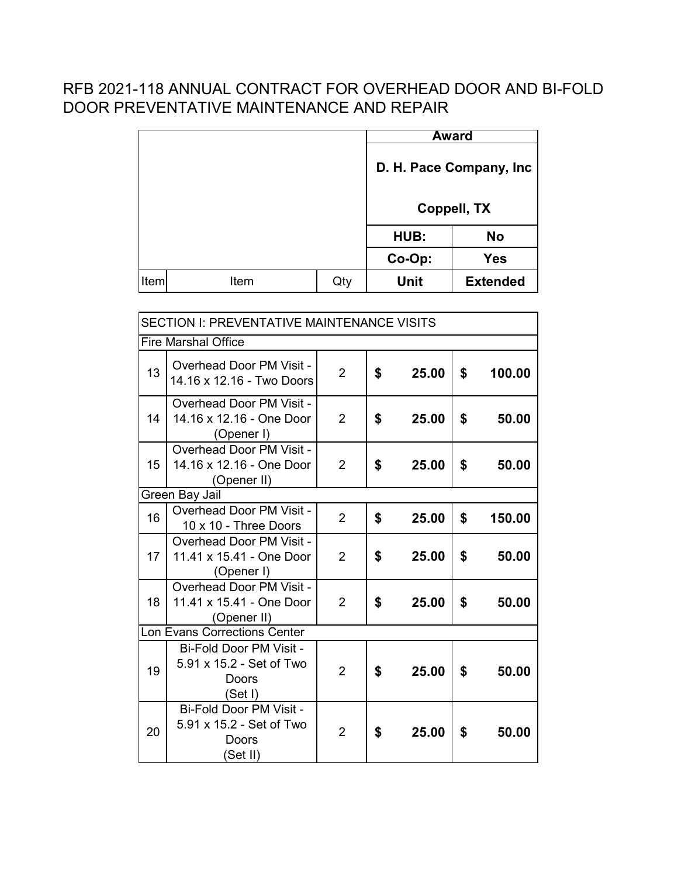|             |      |     |                          | <b>Award</b>    |  |
|-------------|------|-----|--------------------------|-----------------|--|
|             |      |     | D. H. Pace Company, Inc. |                 |  |
|             |      |     | Coppell, TX              |                 |  |
|             |      |     | <b>No</b><br>HUB:        |                 |  |
|             |      |     | Co-Op:<br><b>Yes</b>     |                 |  |
| <b>Item</b> | Item | Qty | <b>Unit</b>              | <b>Extended</b> |  |

| SECTION I: PREVENTATIVE MAINTENANCE VISITS |                                                                            |                |    |       |    |        |
|--------------------------------------------|----------------------------------------------------------------------------|----------------|----|-------|----|--------|
|                                            | <b>Fire Marshal Office</b>                                                 |                |    |       |    |        |
| 13                                         | <b>Overhead Door PM Visit -</b><br>14.16 x 12.16 - Two Doors               | $\overline{2}$ | \$ | 25.00 | \$ | 100.00 |
| 14                                         | <b>Overhead Door PM Visit -</b><br>14.16 x 12.16 - One Door<br>(Opener I)  | $\overline{2}$ | \$ | 25.00 | \$ | 50.00  |
| 15                                         | <b>Overhead Door PM Visit -</b><br>14.16 x 12.16 - One Door<br>(Opener II) | $\overline{2}$ | \$ | 25.00 | \$ | 50.00  |
|                                            | Green Bay Jail                                                             |                |    |       |    |        |
| 16                                         | <b>Overhead Door PM Visit -</b><br>10 x 10 - Three Doors                   | $\overline{2}$ | \$ | 25.00 | \$ | 150.00 |
| 17                                         | <b>Overhead Door PM Visit -</b><br>11.41 x 15.41 - One Door<br>(Opener I)  | $\overline{2}$ | \$ | 25.00 | \$ | 50.00  |
| 18                                         | Overhead Door PM Visit -<br>11.41 x 15.41 - One Door<br>(Opener II)        | 2              | \$ | 25.00 | \$ | 50.00  |
|                                            | <b>Lon Evans Corrections Center</b>                                        |                |    |       |    |        |
| 19                                         | Bi-Fold Door PM Visit -<br>5.91 x 15.2 - Set of Two<br>Doors<br>(Set I)    | $\overline{2}$ | \$ | 25.00 | \$ | 50.00  |
| 20                                         | Bi-Fold Door PM Visit -<br>5.91 x 15.2 - Set of Two<br>Doors<br>(Set II)   | $\overline{2}$ | \$ | 25.00 | \$ | 50.00  |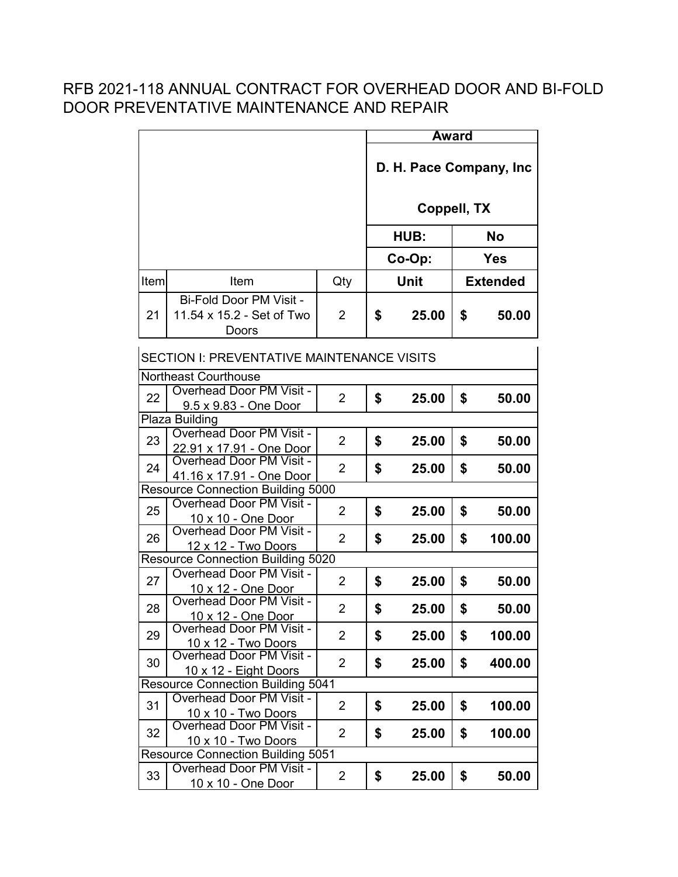|                                   |                                                                |                         |    | <b>Award</b> |    |                 |  |
|-----------------------------------|----------------------------------------------------------------|-------------------------|----|--------------|----|-----------------|--|
|                                   |                                                                | D. H. Pace Company, Inc |    |              |    |                 |  |
|                                   |                                                                |                         |    | Coppell, TX  |    |                 |  |
|                                   |                                                                |                         |    | HUB:         |    | No              |  |
|                                   |                                                                |                         |    | Co-Op:       |    | <b>Yes</b>      |  |
| Item                              | Item                                                           | Qty                     |    | Unit         |    | <b>Extended</b> |  |
| 21                                | Bi-Fold Door PM Visit -<br>11.54 x 15.2 - Set of Two<br>Doors  | $\overline{2}$          | \$ | 25.00        | \$ | 50.00           |  |
|                                   | <b>SECTION I: PREVENTATIVE MAINTENANCE VISITS</b>              |                         |    |              |    |                 |  |
|                                   | <b>Northeast Courthouse</b>                                    |                         |    |              |    |                 |  |
| 22                                | <b>Overhead Door PM Visit -</b><br>9.5 x 9.83 - One Door       | $\overline{2}$          | \$ | 25.00        | \$ | 50.00           |  |
|                                   | Plaza Building                                                 |                         |    |              |    |                 |  |
| 23                                | <b>Overhead Door PM Visit -</b><br>22.91 x 17.91 - One Door    | $\overline{2}$          | \$ | 25.00        | \$ | 50.00           |  |
| 24                                | Overhead Door PM Visit -<br>41.16 x 17.91 - One Door           | $\overline{2}$          | \$ | 25.00        | \$ | 50.00           |  |
|                                   | <b>Resource Connection Building 5000</b>                       |                         |    |              |    |                 |  |
| 25                                | <b>Overhead Door PM Visit -</b><br>10 x 10 - One Door          | $\overline{2}$          | \$ | 25.00        | \$ | 50.00           |  |
| 26                                | <b>Overhead Door PM Visit -</b><br>12 x 12 - Two Doors         | $\overline{2}$          | \$ | 25.00        | \$ | 100.00          |  |
|                                   | <b>Resource Connection Building 5020</b>                       |                         |    |              |    |                 |  |
| 27                                | Overhead Door PM Visit -<br><u> 10 x 12 - One Door</u>         | $\overline{2}$          | \$ | 25.00        | \$ | 50.00           |  |
| 28                                | <b>Overhead Door PM Visit -</b><br><u> 10 x 12 - One Door</u>  | $\overline{2}$          | \$ | 25.00        | \$ | 50.00           |  |
| 29                                | <b>Overhead Door PM Visit -</b><br><u> 10 x 12 - Two Doors</u> | $\overline{2}$          | \$ | 25.00        | \$ | 100.00          |  |
| 30                                | <b>Overhead Door PM Visit -</b><br>10 x 12 - Eight Doors       | $\overline{2}$          | \$ | 25.00        | \$ | 400.00          |  |
| Resource Connection Building 5041 |                                                                |                         |    |              |    |                 |  |
| 31                                | <b>Overhead Door PM Visit -</b><br>10 x 10 - Two Doors         | $\overline{2}$          | \$ | 25.00        | \$ | 100.00          |  |
| 32                                | <b>Overhead Door PM Visit -</b><br>10 x 10 - Two Doors         | $\overline{2}$          | \$ | 25.00        | \$ | 100.00          |  |
|                                   | <b>Resource Connection Building 5051</b>                       |                         |    |              |    |                 |  |
| 33                                | <b>Overhead Door PM Visit -</b><br>10 x 10 - One Door          | $\overline{2}$          | \$ | 25.00        | \$ | 50.00           |  |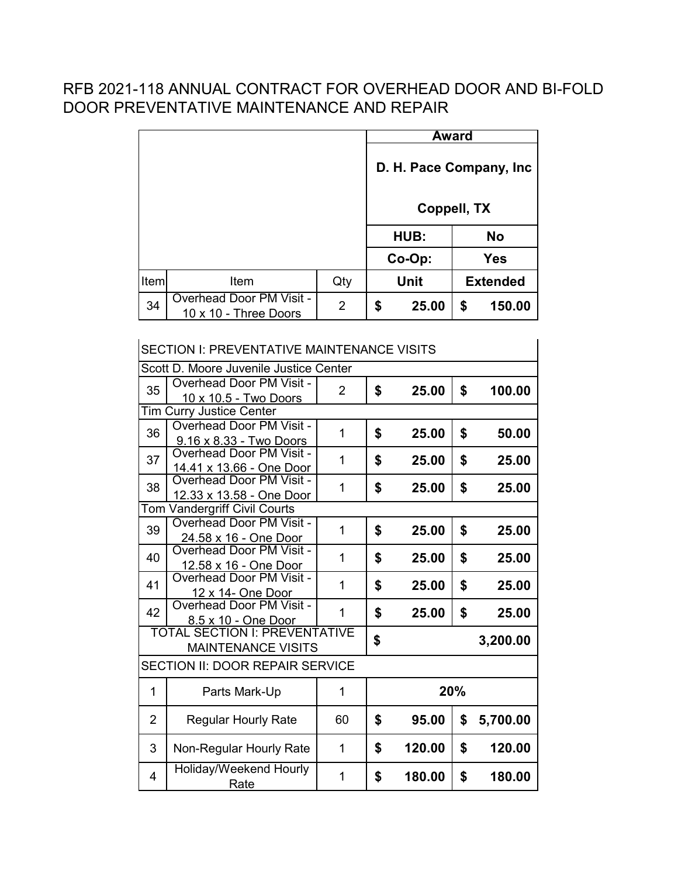|      |                                                          |                |                          | <b>Award</b> |    |                 |
|------|----------------------------------------------------------|----------------|--------------------------|--------------|----|-----------------|
|      |                                                          |                | D. H. Pace Company, Inc. |              |    |                 |
|      |                                                          |                |                          | Coppell, TX  |    |                 |
|      |                                                          |                |                          | HUB:         |    | <b>No</b>       |
|      |                                                          |                |                          | Co-Op:       |    | <b>Yes</b>      |
| Item | Item                                                     | Qty            |                          | Unit         |    | <b>Extended</b> |
| 34   | <b>Overhead Door PM Visit -</b><br>10 x 10 - Three Doors | $\overline{2}$ | \$                       | 25.00        | \$ | 150.00          |

| <b>SECTION I: PREVENTATIVE MAINTENANCE VISITS</b> |                                                                                  |                |    |        |     |          |
|---------------------------------------------------|----------------------------------------------------------------------------------|----------------|----|--------|-----|----------|
| Scott D. Moore Juvenile Justice Center            |                                                                                  |                |    |        |     |          |
| 35                                                | <b>Overhead Door PM Visit -</b><br>10 x 10.5 - Two Doors                         | $\overline{2}$ | \$ | 25.00  | \$  | 100.00   |
|                                                   | <b>Tim Curry Justice Center</b>                                                  |                |    |        |     |          |
| 36                                                | <b>Overhead Door PM Visit -</b><br>9.16 x 8.33 - Two Doors                       | 1              | \$ | 25.00  | \$  | 50.00    |
| 37                                                | Overhead Door PM Visit -<br>14.41 x 13.66 - One Door                             | 1              | \$ | 25.00  | \$  | 25.00    |
| 38                                                | <b>Overhead Door PM Visit -</b><br>12.33 x 13.58 - One Door                      | 1              | \$ | 25.00  | \$  | 25.00    |
| Tom                                               | <b>Vandergriff Civil Courts</b>                                                  |                |    |        |     |          |
| 39                                                | <b>Overhead Door PM Visit -</b><br>24.58 x 16 - One Door                         | 1              | \$ | 25.00  | \$  | 25.00    |
| 40                                                | Overhead Door PM Visit -<br>12.58 x 16 - One Door                                | 1              | \$ | 25.00  | \$  | 25.00    |
| 41                                                | <b>Overhead Door PM Visit -</b><br>12 x 14- One Door<br>Overhead Door PM Visit - | 1              | \$ | 25.00  | \$  | 25.00    |
| 42                                                | 8.5 x 10 - One Door                                                              | 1              | \$ | 25.00  | \$  | 25.00    |
|                                                   | <b>TOTAL SECTION I: PREVENTATIVE</b><br><b>MAINTENANCE VISITS</b>                |                | \$ |        |     | 3,200.00 |
|                                                   | <b>SECTION II: DOOR REPAIR SERVICE</b>                                           |                |    |        |     |          |
| 1                                                 | Parts Mark-Up                                                                    | 1              |    |        | 20% |          |
| $\overline{2}$                                    | <b>Regular Hourly Rate</b>                                                       | 60             | \$ | 95.00  | \$  | 5,700.00 |
| 3                                                 | Non-Regular Hourly Rate                                                          | 1              | \$ | 120.00 | \$  | 120.00   |
| 4                                                 | Holiday/Weekend Hourly<br>Rate                                                   | 1              | \$ | 180.00 | \$  | 180.00   |